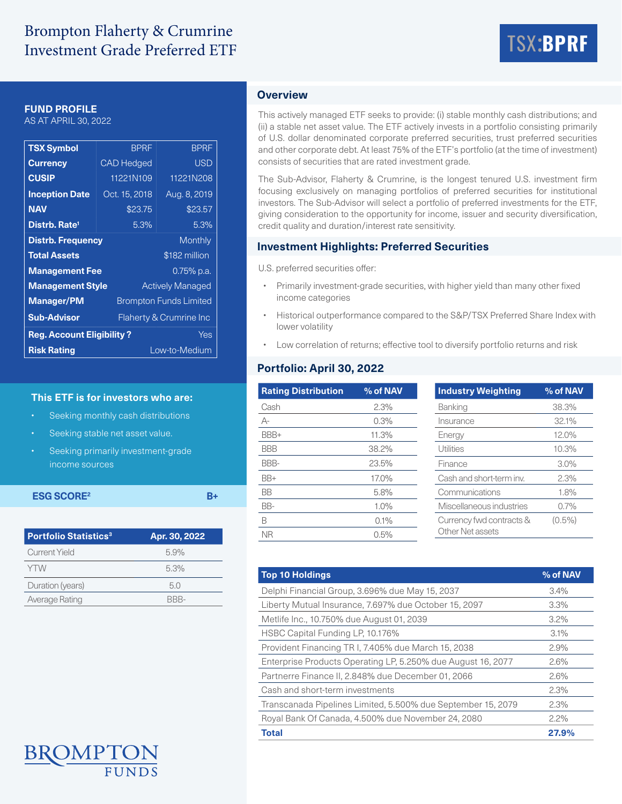# Brompton Flaherty & Crumrine Investment Grade Preferred ETF



## **FUND PROFILE**

AS AT APRIL 30, 2022

| <b>TSX Symbol</b>                       | <b>BPRF</b>                   | <b>BPRF</b>             |  |  |
|-----------------------------------------|-------------------------------|-------------------------|--|--|
| <b>Currency</b>                         | <b>CAD Hedged</b>             | <b>USD</b>              |  |  |
| <b>CUSIP</b>                            | 11221N109                     | 11221N208               |  |  |
| <b>Inception Date</b>                   | Oct. 15, 2018                 | Aug. 8, 2019            |  |  |
| <b>NAV</b>                              | \$23.75                       | \$23.57                 |  |  |
| Distrb. Rate <sup>1</sup>               | 5.3%                          | 5.3%                    |  |  |
| <b>Distrb. Frequency</b>                |                               | <b>Monthly</b>          |  |  |
| <b>Total Assets</b>                     |                               | \$182 million           |  |  |
| <b>Management Fee</b>                   |                               | 0.75% p.a.              |  |  |
| <b>Management Style</b>                 |                               | <b>Actively Managed</b> |  |  |
| <b>Manager/PM</b>                       | <b>Brompton Funds Limited</b> |                         |  |  |
| <b>Sub-Advisor</b>                      | Flaherty & Crumrine Inc       |                         |  |  |
| <b>Reg. Account Eligibility?</b><br>Yes |                               |                         |  |  |
| Low-to-Medium<br><b>Risk Rating</b>     |                               |                         |  |  |

### **This ETF is for investors who are:**

- Seeking monthly cash distributions
- Seeking stable net asset value.
- Seeking primarily investment-grade income sources

# **ESG SCORE<sup>2</sup> B+**

| <b>Portfolio Statistics<sup>3</sup></b> | Apr. 30, 2022 |  |  |
|-----------------------------------------|---------------|--|--|
| <b>Current Yield</b>                    | 5.9%          |  |  |
| <b>YTW</b>                              | 5.3%          |  |  |
| Duration (years)                        | 5.0           |  |  |
| Average Rating                          | RRR-          |  |  |

# **Overview**

This actively managed ETF seeks to provide: (i) stable monthly cash distributions; and (ii) a stable net asset value. The ETF actively invests in a portfolio consisting primarily of U.S. dollar denominated corporate preferred securities, trust preferred securities and other corporate debt. At least 75% of the ETF's portfolio (at the time of investment) consists of securities that are rated investment grade.

The Sub-Advisor, Flaherty & Crumrine, is the longest tenured U.S. investment firm focusing exclusively on managing portfolios of preferred securities for institutional investors. The Sub-Advisor will select a portfolio of preferred investments for the ETF, giving consideration to the opportunity for income, issuer and security diversification, credit quality and duration/interest rate sensitivity.

# **Investment Highlights: Preferred Securities**

U.S. preferred securities offer:

- Primarily investment-grade securities, with higher yield than many other fixed income categories
- Historical outperformance compared to the S&P/TSX Preferred Share Index with lower volatility
- Low correlation of returns; effective tool to diversify portfolio returns and risk

# **Portfolio: April 30, 2022**

| <b>Rating Distribution</b> | % of NAV | <b>Industry Weighting</b> | % of NAV  |
|----------------------------|----------|---------------------------|-----------|
| Cash                       | 2.3%     | Banking                   | 38.3%     |
| $A-$                       | 0.3%     | Insurance                 | 32.1%     |
| BBB+                       | 11.3%    | Energy                    | 12.0%     |
| <b>BBB</b>                 | 38.2%    | Utilities                 | 10.3%     |
| BBB-                       | 23.5%    | Finance                   | 3.0%      |
| BB+                        | 17.0%    | Cash and short-term inv.  | 2.3%      |
| <b>BB</b>                  | 5.8%     | Communications            | 1.8%      |
| BB-                        | 1.0%     | Miscellaneous industries  | 0.7%      |
| B                          | 0.1%     | Currency fwd contracts &  | $(0.5\%)$ |
| <b>NR</b>                  | 0.5%     | Other Net assets          |           |

| % of NAV |
|----------|
| 3.4%     |
| 3.3%     |
| $3.2\%$  |
| 3.1%     |
| 2.9%     |
| 2.6%     |
| 2.6%     |
| 2.3%     |
| 2.3%     |
| $2.2\%$  |
| 27.9%    |
|          |